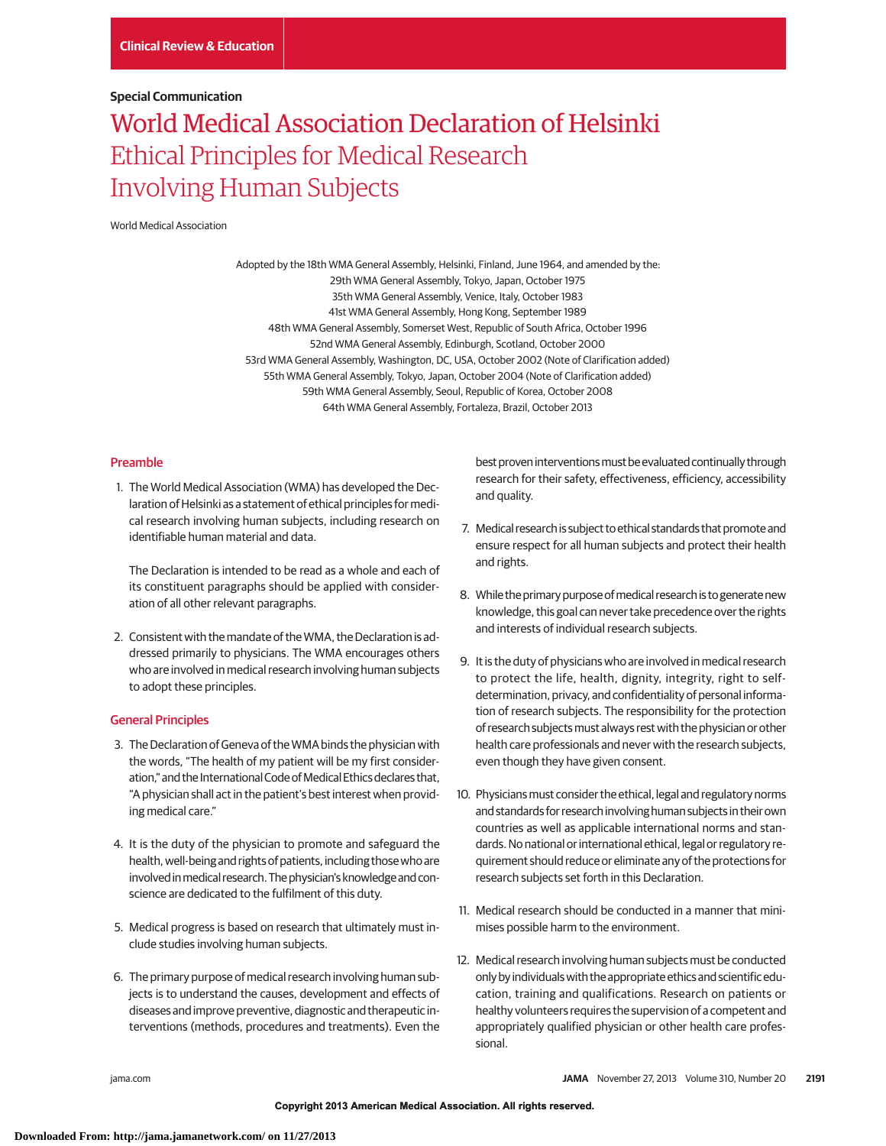## **Special Communication**

# World Medical Association Declaration of Helsinki Ethical Principles for Medical Research Involving Human Subjects

World Medical Association

Adopted by the 18th WMA General Assembly, Helsinki, Finland, June 1964, and amended by the: 29th WMA General Assembly, Tokyo, Japan, October 1975 35th WMA General Assembly, Venice, Italy, October 1983 41st WMA General Assembly, Hong Kong, September 1989 48th WMA General Assembly, Somerset West, Republic of South Africa, October 1996 52nd WMA General Assembly, Edinburgh, Scotland, October 2000 53rd WMA General Assembly, Washington, DC, USA, October 2002 (Note of Clarification added) 55th WMA General Assembly, Tokyo, Japan, October 2004 (Note of Clarification added) 59th WMA General Assembly, Seoul, Republic of Korea, October 2008 64th WMA General Assembly, Fortaleza, Brazil, October 2013

## Preamble

1. The World Medical Association (WMA) has developed the Declaration of Helsinki as a statement of ethical principles for medical research involving human subjects, including research on identifiable human material and data.

The Declaration is intended to be read as a whole and each of its constituent paragraphs should be applied with consideration of all other relevant paragraphs.

2. Consistent with the mandate of theWMA, the Declaration is addressed primarily to physicians. The WMA encourages others who are involved in medical research involving human subjects to adopt these principles.

#### General Principles

- 3. The Declaration of Geneva of theWMA binds the physician with the words, "The health of my patient will be my first consideration," and the International Code of Medical Ethics declares that, "A physician shall act in the patient's best interest when providing medical care."
- 4. It is the duty of the physician to promote and safeguard the health, well-being and rights of patients, including those who are involved in medical research. The physician's knowledge and conscience are dedicated to the fulfilment of this duty.
- 5. Medical progress is based on research that ultimately must include studies involving human subjects.
- 6. The primary purpose of medical research involving human subjects is to understand the causes, development and effects of diseases and improve preventive, diagnostic and therapeutic interventions (methods, procedures and treatments). Even the

best proven interventions must be evaluated continually through research for their safety, effectiveness, efficiency, accessibility and quality.

- 7. Medical research is subject toethical standards that promote and ensure respect for all human subjects and protect their health and rights.
- 8. While the primary purpose of medical research is to generate new knowledge, this goal can never take precedence over the rights and interests of individual research subjects.
- 9. It is the duty of physicians who are involved in medical research to protect the life, health, dignity, integrity, right to selfdetermination, privacy, and confidentiality of personal information of research subjects. The responsibility for the protection of research subjectsmust always rest with the physician or other health care professionals and never with the research subjects, even though they have given consent.
- 10. Physicians must consider the ethical, legal and regulatory norms and standards for research involving human subjects in their own countries as well as applicable international norms and standards. No national or international ethical, legal or regulatory requirement should reduce or eliminate any of the protections for research subjects set forth in this Declaration.
- 11. Medical research should be conducted in a manner that minimises possible harm to the environment.
- 12. Medical research involving human subjects must be conducted only by individuals with the appropriate ethics and scientific education, training and qualifications. Research on patients or healthy volunteers requires the supervision of a competent and appropriately qualified physician or other health care professional.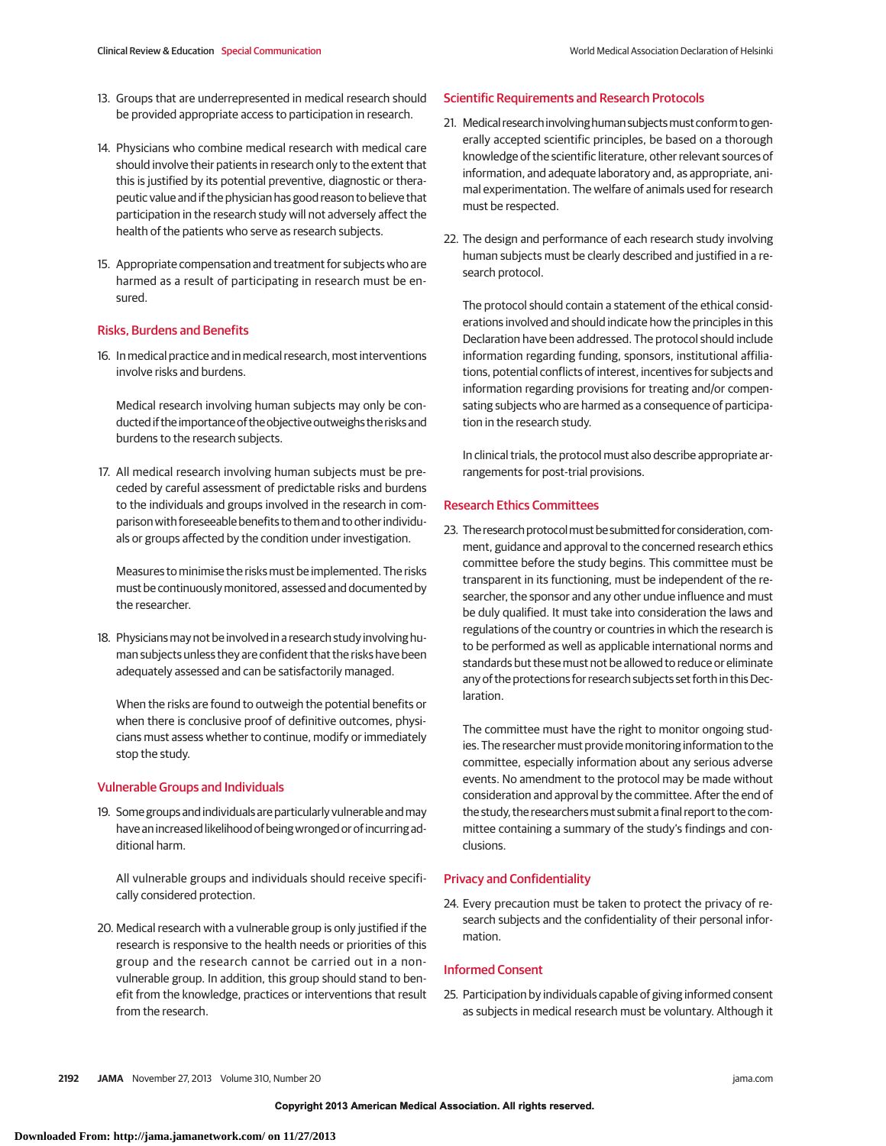- 13. Groups that are underrepresented in medical research should be provided appropriate access to participation in research.
- 14. Physicians who combine medical research with medical care should involve their patients in research only to the extent that this is justified by its potential preventive, diagnostic or therapeutic value and if the physician has good reason to believe that participation in the research study will not adversely affect the health of the patients who serve as research subjects.
- 15. Appropriate compensation and treatment for subjects who are harmed as a result of participating in research must be ensured.

#### Risks, Burdens and Benefits

16. In medical practice and in medical research, most interventions involve risks and burdens.

Medical research involving human subjects may only be conducted if the importance of the objective outweighs the risks and burdens to the research subjects.

17. All medical research involving human subjects must be preceded by careful assessment of predictable risks and burdens to the individuals and groups involved in the research in comparison with foreseeable benefits to them and to other individuals or groups affected by the condition under investigation.

Measures to minimise the risks must be implemented. The risks must be continuously monitored, assessed and documented by the researcher.

18. Physicians may not be involvedin a research study involving human subjects unless they are confident that the risks have been adequately assessed and can be satisfactorily managed.

When the risks are found to outweigh the potential benefits or when there is conclusive proof of definitive outcomes, physicians must assess whether to continue, modify or immediately stop the study.

### Vulnerable Groups and Individuals

19. Some groups and individuals are particularly vulnerable andmay have an increased likelihood of being wronged or of incurring additional harm.

All vulnerable groups and individuals should receive specifically considered protection.

20. Medical research with a vulnerable group is only justified if the research is responsive to the health needs or priorities of this group and the research cannot be carried out in a nonvulnerable group. In addition, this group should stand to benefit from the knowledge, practices or interventions that result from the research.

#### Scientific Requirements and Research Protocols

- 21. Medical research involving human subjectsmust conform to generally accepted scientific principles, be based on a thorough knowledge of the scientific literature, other relevant sources of information, and adequate laboratory and, as appropriate, animal experimentation. The welfare of animals used for research must be respected.
- 22. The design and performance of each research study involving human subjects must be clearly described and justified in a research protocol.

The protocol should contain a statement of the ethical considerations involved and should indicate how the principles in this Declaration have been addressed. The protocol should include information regarding funding, sponsors, institutional affiliations, potential conflicts of interest, incentives for subjects and information regarding provisions for treating and/or compensating subjects who are harmed as a consequence of participation in the research study.

In clinical trials, the protocol must also describe appropriate arrangements for post-trial provisions.

# Research Ethics Committees

23. The research protocolmust be submitted for consideration, comment, guidance and approval to the concerned research ethics committee before the study begins. This committee must be transparent in its functioning, must be independent of the researcher, the sponsor and any other undue influence and must be duly qualified. It must take into consideration the laws and regulations of the country or countries in which the research is to be performed as well as applicable international norms and standards but these must not be allowed to reduce or eliminate any of the protections for research subjects set forth in this Declaration.

The committee must have the right to monitor ongoing studies. The researcher must provide monitoring information to the committee, especially information about any serious adverse events. No amendment to the protocol may be made without consideration and approval by the committee. After the end of the study, the researchers must submit a final report to the committee containing a summary of the study's findings and conclusions.

#### Privacy and Confidentiality

24. Every precaution must be taken to protect the privacy of research subjects and the confidentiality of their personal information.

#### Informed Consent

25. Participation by individuals capable of giving informed consent as subjects in medical research must be voluntary. Although it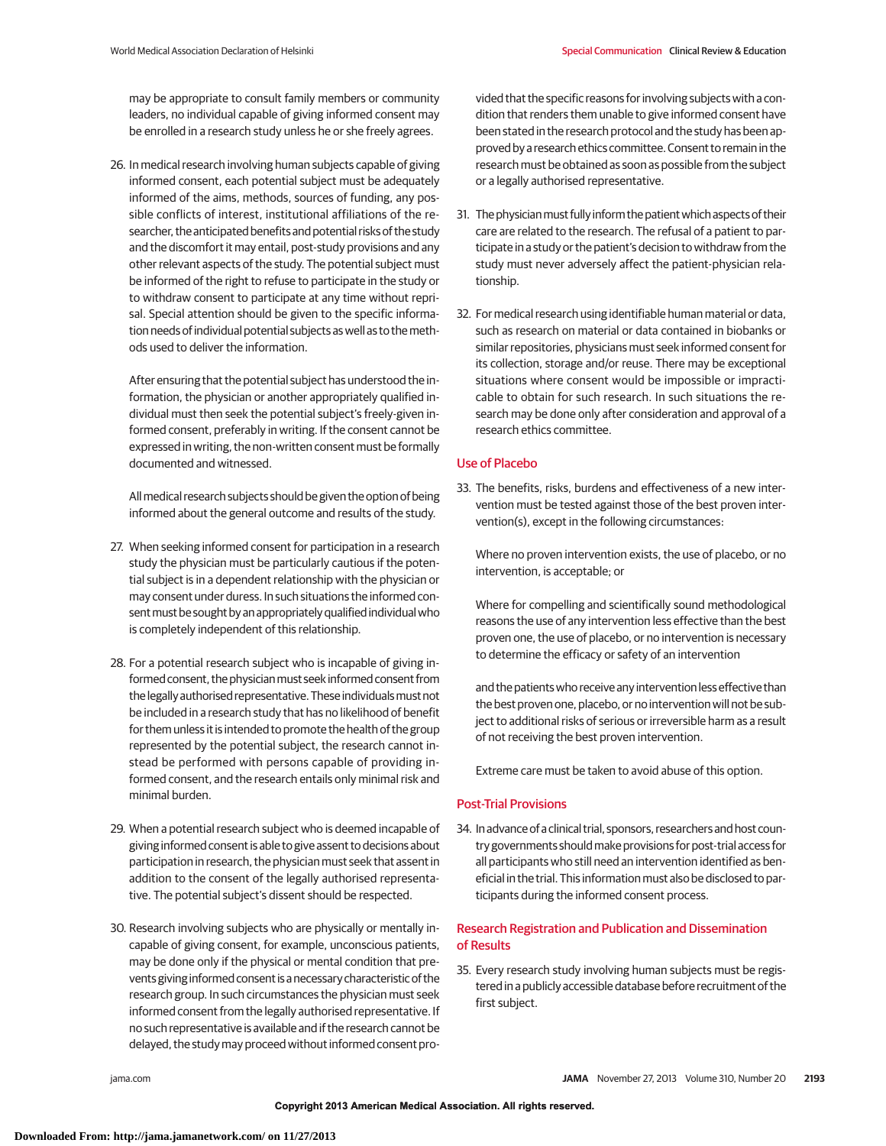may be appropriate to consult family members or community leaders, no individual capable of giving informed consent may be enrolled in a research study unless he or she freely agrees.

26. In medical research involving human subjects capable of giving informed consent, each potential subject must be adequately informed of the aims, methods, sources of funding, any possible conflicts of interest, institutional affiliations of the researcher, the anticipated benefits and potential risks of the study and the discomfort it may entail, post-study provisions and any other relevant aspects of the study. The potential subject must be informed of the right to refuse to participate in the study or to withdraw consent to participate at any time without reprisal. Special attention should be given to the specific information needs of individual potential subjects as well as to themethods used to deliver the information.

After ensuring that the potential subject has understood the information, the physician or another appropriately qualified individual must then seek the potential subject's freely-given informed consent, preferably in writing. If the consent cannot be expressed in writing, the non-written consent must be formally documented and witnessed.

Allmedical research subjects should be given the option of being informed about the general outcome and results of the study.

- 27. When seeking informed consent for participation in a research study the physician must be particularly cautious if the potential subject is in a dependent relationship with the physician or may consent under duress. In such situations the informed consent must be sought by an appropriately qualified individual who is completely independent of this relationship.
- 28. For a potential research subject who is incapable of giving informed consent, the physician must seek informed consent from the legally authorised representative. These individuals must not be included in a research study that has no likelihood of benefit for them unless it is intended to promote the health of the group represented by the potential subject, the research cannot instead be performed with persons capable of providing informed consent, and the research entails only minimal risk and minimal burden.
- 29. When a potential research subject who is deemed incapable of giving informed consent is able to give assent to decisions about participation in research, the physician must seek that assent in addition to the consent of the legally authorised representative. The potential subject's dissent should be respected.
- 30. Research involving subjects who are physically or mentally incapable of giving consent, for example, unconscious patients, may be done only if the physical or mental condition that prevents giving informed consent is a necessary characteristic of the research group. In such circumstances the physician must seek informed consent from the legally authorised representative. If no such representative is available and if the research cannot be delayed, the study may proceed without informed consent pro-

vided that the specific reasons for involving subjects with a condition that renders them unable to give informed consent have been stated in the research protocol and the study has been approved by a research ethics committee. Consent to remain in the research must be obtained as soon as possible from the subject or a legally authorised representative.

- 31. The physician must fully inform the patient which aspects of their care are related to the research. The refusal of a patient to participate in a study or the patient's decision to withdraw from the study must never adversely affect the patient-physician relationship.
- 32. For medical research using identifiable human material or data, such as research on material or data contained in biobanks or similar repositories, physicians must seek informed consent for its collection, storage and/or reuse. There may be exceptional situations where consent would be impossible or impracticable to obtain for such research. In such situations the research may be done only after consideration and approval of a research ethics committee.

## Use of Placebo

33. The benefits, risks, burdens and effectiveness of a new intervention must be tested against those of the best proven intervention(s), except in the following circumstances:

Where no proven intervention exists, the use of placebo, or no intervention, is acceptable; or

Where for compelling and scientifically sound methodological reasons the use of any intervention less effective than the best proven one, the use of placebo, or no intervention is necessary to determine the efficacy or safety of an intervention

and the patients who receive any intervention less effective than the best proven one, placebo, or no intervention will not be subject to additional risks of serious or irreversible harm as a result of not receiving the best proven intervention.

Extreme care must be taken to avoid abuse of this option.

# Post-Trial Provisions

34. In advance of a clinical trial, sponsors, researchers and host country governments shouldmake provisions for post-trial access for all participants who still need an intervention identified as beneficial in the trial. This information must also be disclosed to participants during the informed consent process.

# Research Registration and Publication and Dissemination of Results

35. Every research study involving human subjects must be registered in a publicly accessible database before recruitment of the first subject.